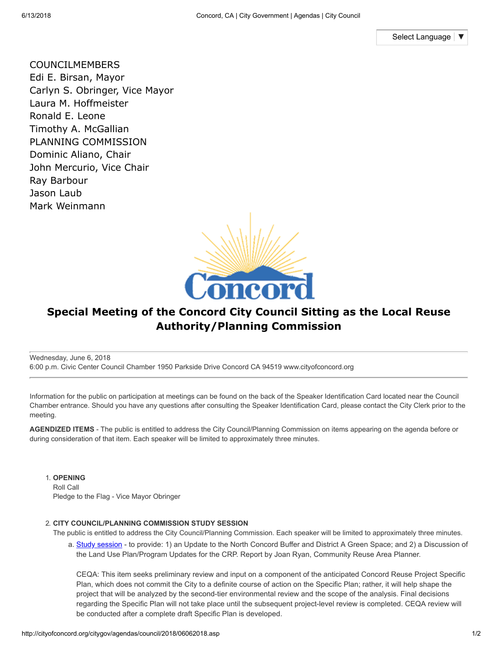Select [Language](javascript:void(0))

COUNCILMEMBERS Edi E. Birsan, Mayor Carlyn S. Obringer, Vice Mayor Laura M. Hoffmeister Ronald E. Leone Timothy A. McGallian PLANNING COMMISSION Dominic Aliano, Chair John Mercurio, Vice Chair Ray Barbour Jason Laub Mark Weinmann



## **Special Meeting of the Concord City Council Sitting as the Local Reuse Authority/Planning Commission**

Wednesday, June 6, 2018 6:00 p.m. Civic Center Council Chamber 1950 Parkside Drive Concord CA 94519 www.cityofconcord.org

Information for the public on participation at meetings can be found on the back of the Speaker Identification Card located near the Council Chamber entrance. Should you have any questions after consulting the Speaker Identification Card, please contact the City Clerk prior to the meeting.

**AGENDIZED ITEMS** - The public is entitled to address the City Council/Planning Commission on items appearing on the agenda before or during consideration of that item. Each speaker will be limited to approximately three minutes.

1. **OPENING**

Roll Call Pledge to the Flag - Vice Mayor Obringer

## 2. **CITY COUNCIL/PLANNING COMMISSION STUDY SESSION**

The public is entitled to address the City Council/Planning Commission. Each speaker will be limited to approximately three minutes.

a. Study [session](http://cityofconcord.org/pdf/citygov/agendas/council/2018/0606/2A.pdf) - to provide: 1) an Update to the North Concord Buffer and District A Green Space; and 2) a Discussion of the Land Use Plan/Program Updates for the CRP. Report by Joan Ryan, Community Reuse Area Planner.

CEQA: This item seeks preliminary review and input on a component of the anticipated Concord Reuse Project Specific Plan, which does not commit the City to a definite course of action on the Specific Plan; rather, it will help shape the project that will be analyzed by the second-tier environmental review and the scope of the analysis. Final decisions regarding the Specific Plan will not take place until the subsequent project-level review is completed. CEQA review will be conducted after a complete draft Specific Plan is developed.